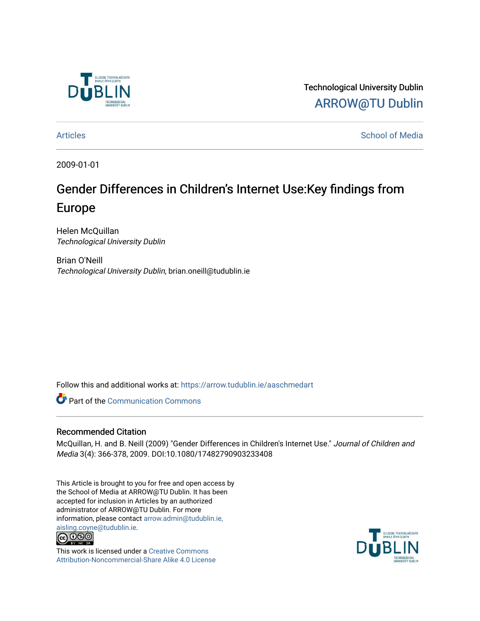

Technological University Dublin [ARROW@TU Dublin](https://arrow.tudublin.ie/) 

[Articles](https://arrow.tudublin.ie/aaschmedart) **School of Media** 

2009-01-01

# Gender Differences in Children's Internet Use:Key findings from Europe

Helen McQuillan Technological University Dublin

Brian O'Neill Technological University Dublin, brian.oneill@tudublin.ie

Follow this and additional works at: [https://arrow.tudublin.ie/aaschmedart](https://arrow.tudublin.ie/aaschmedart?utm_source=arrow.tudublin.ie%2Faaschmedart%2F35&utm_medium=PDF&utm_campaign=PDFCoverPages) 

Part of the [Communication Commons](http://network.bepress.com/hgg/discipline/325?utm_source=arrow.tudublin.ie%2Faaschmedart%2F35&utm_medium=PDF&utm_campaign=PDFCoverPages) 

# Recommended Citation

McQuillan, H. and B. Neill (2009) "Gender Differences in Children's Internet Use." Journal of Children and Media 3(4): 366-378, 2009. DOI:10.1080/17482790903233408

This Article is brought to you for free and open access by the School of Media at ARROW@TU Dublin. It has been accepted for inclusion in Articles by an authorized administrator of ARROW@TU Dublin. For more information, please contact [arrow.admin@tudublin.ie,](mailto:arrow.admin@tudublin.ie,%20aisling.coyne@tudublin.ie)  [aisling.coyne@tudublin.ie.](mailto:arrow.admin@tudublin.ie,%20aisling.coyne@tudublin.ie)<br>@060



This work is licensed under a [Creative Commons](http://creativecommons.org/licenses/by-nc-sa/4.0/) [Attribution-Noncommercial-Share Alike 4.0 License](http://creativecommons.org/licenses/by-nc-sa/4.0/)

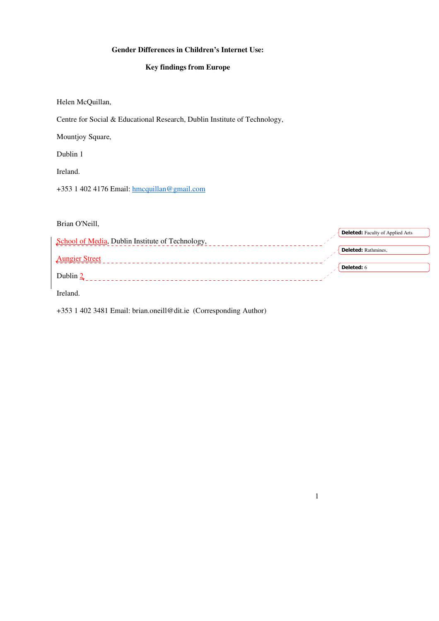# **Gender Differences in Children's Internet Use:**

# **Key findings from Europe**

Helen McQuillan,

Centre for Social & Educational Research, Dublin Institute of Technology,

Mountjoy Square,

Dublin 1

Ireland.

+353 1 402 4176 Email: hmcquillan@gmail.com

Brian O'Neill,

|                                                  | <b>Deleted:</b> Faculty of Applied Arts |
|--------------------------------------------------|-----------------------------------------|
| School of Media, Dublin Institute of Technology, |                                         |
|                                                  | <b>Deleted:</b> Rathmines,              |
| <b>Aungier Street</b>                            |                                         |
|                                                  | <b>Deleted:</b> 6                       |
| Dublin 2                                         |                                         |
|                                                  |                                         |
| Ireland.                                         |                                         |

1

+353 1 402 3481 Email: brian.oneill@dit.ie (Corresponding Author)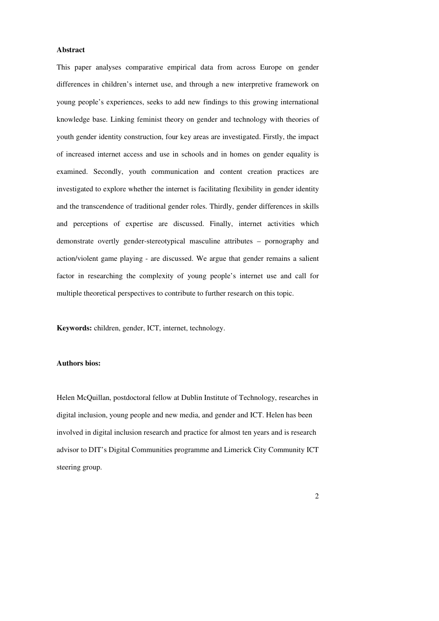# **Abstract**

This paper analyses comparative empirical data from across Europe on gender differences in children's internet use, and through a new interpretive framework on young people's experiences, seeks to add new findings to this growing international knowledge base. Linking feminist theory on gender and technology with theories of youth gender identity construction, four key areas are investigated. Firstly, the impact of increased internet access and use in schools and in homes on gender equality is examined. Secondly, youth communication and content creation practices are investigated to explore whether the internet is facilitating flexibility in gender identity and the transcendence of traditional gender roles. Thirdly, gender differences in skills and perceptions of expertise are discussed. Finally, internet activities which demonstrate overtly gender-stereotypical masculine attributes – pornography and action/violent game playing - are discussed. We argue that gender remains a salient factor in researching the complexity of young people's internet use and call for multiple theoretical perspectives to contribute to further research on this topic.

**Keywords:** children, gender, ICT, internet, technology.

### **Authors bios:**

Helen McQuillan, postdoctoral fellow at Dublin Institute of Technology, researches in digital inclusion, young people and new media, and gender and ICT. Helen has been involved in digital inclusion research and practice for almost ten years and is research advisor to DIT's Digital Communities programme and Limerick City Community ICT steering group.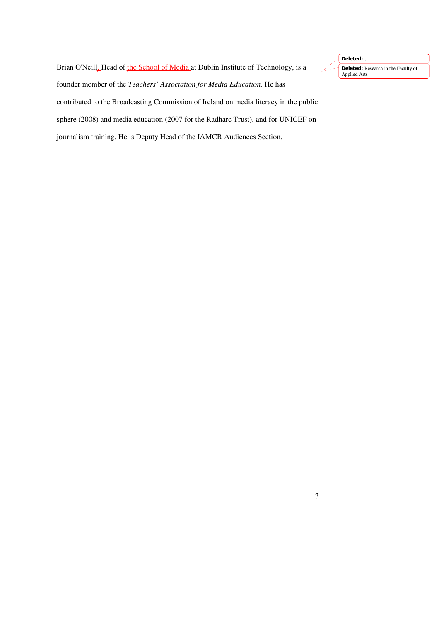Brian O'Neill, Head of the School of Media at Dublin Institute of Technology, is a founder member of the *Teachers' Association for Media Education.* He has contributed to the Broadcasting Commission of Ireland on media literacy in the public sphere (2008) and media education (2007 for the Radharc Trust), and for UNICEF on journalism training. He is Deputy Head of the IAMCR Audiences Section.

3

Deleted: ,

Applied Arts

**Deleted:** Research in the Faculty of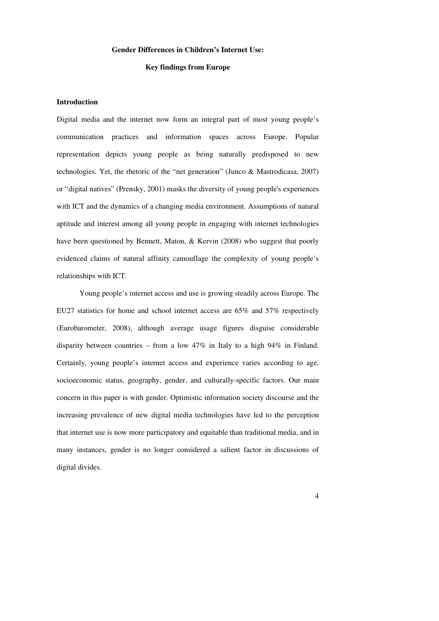# **Gender Differences in Children's Internet Use:**

### **Key findings from Europe**

# **Introduction**

Digital media and the internet now form an integral part of most young people's communication practices and information spaces across Europe. Popular representation depicts young people as being naturally predisposed to new technologies. Yet, the rhetoric of the "net generation" (Junco & Mastrodicasa, 2007) or "digital natives" (Prensky, 2001) masks the diversity of young people's experiences with ICT and the dynamics of a changing media environment. Assumptions of natural aptitude and interest among all young people in engaging with internet technologies have been questioned by Bennett, Maton, & Kervin (2008) who suggest that poorly evidenced claims of natural affinity camouflage the complexity of young people's relationships with ICT.

Young people's internet access and use is growing steadily across Europe. The EU27 statistics for home and school internet access are 65% and 57% respectively (Eurobarometer, 2008), although average usage figures disguise considerable disparity between countries – from a low  $47\%$  in Italy to a high  $94\%$  in Finland. Certainly, young people's internet access and experience varies according to age, socioeconomic status, geography, gender, and culturally-specific factors. Our main concern in this paper is with gender. Optimistic information society discourse and the increasing prevalence of new digital media technologies have led to the perception that internet use is now more participatory and equitable than traditional media, and in many instances, gender is no longer considered a salient factor in discussions of digital divides.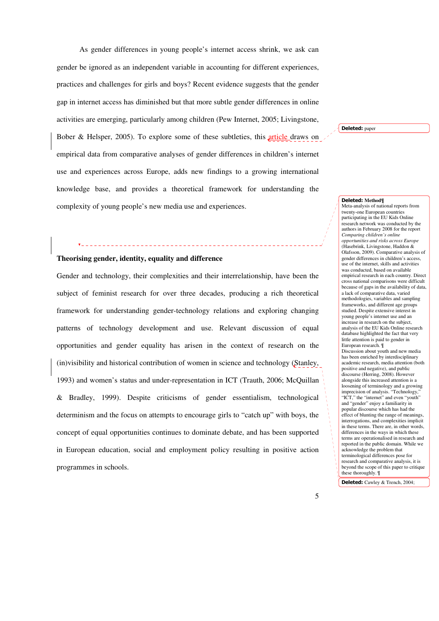As gender differences in young people's internet access shrink, we ask can gender be ignored as an independent variable in accounting for different experiences, practices and challenges for girls and boys? Recent evidence suggests that the gender gap in internet access has diminished but that more subtle gender differences in online activities are emerging, particularly among children (Pew Internet, 2005; Livingstone, Bober & Helsper, 2005). To explore some of these subtleties, this article draws on empirical data from comparative analyses of gender differences in children's internet use and experiences across Europe, adds new findings to a growing international knowledge base, and provides a theoretical framework for understanding the complexity of young people's new media use and experiences.

# \_\_\_\_\_\_\_\_\_\_\_\_\_\_\_\_\_\_\_\_\_\_\_\_\_\_\_\_\_ **Theorising gender, identity, equality and difference**

Gender and technology, their complexities and their interrelationship, have been the subject of feminist research for over three decades, producing a rich theoretical framework for understanding gender-technology relations and exploring changing patterns of technology development and use. Relevant discussion of equal opportunities and gender equality has arisen in the context of research on the (in)visibility and historical contribution of women in science and technology (Stanley, 1993) and women's status and under-representation in ICT (Trauth, 2006; McQuillan & Bradley, 1999). Despite criticisms of gender essentialism, technological determinism and the focus on attempts to encourage girls to "catch up" with boys, the concept of equal opportunities continues to dominate debate, and has been supported in European education, social and employment policy resulting in positive action programmes in schools.

Deleted: paper

#### Deleted: **Method¶**

Meta-analysis of national reports from twenty-one European countries participating in the EU Kids Online research network was conducted by the authors in February 2008 for the report *Comparing children's online opportunities and risks across Europe* (Hasebrink, Livingstone, Haddon & Olafsson, 2009). Comparative analysis of gender differences in children's access, use of the internet, skills and activities was conducted, based on available empirical research in each country. Direct cross national comparisons were difficult because of gaps in the availability of data, a lack of comparative data, varied methodologies, variables and sampling frameworks, and different age groups studied. Despite extensive interest in young people's internet use and an increase in research on the subject, analysis of the EU Kids Online research database highlighted the fact that very little attention is paid to gender in European research. ¶ Discussion about youth and new media has been enriched by interdisciplinary academic research, media attention (both positive and negative), and public discourse (Herring, 2008). However alongside this increased attention is a loosening of terminology and a growing imprecision of analysis. "Technology," "ICT," the "internet" and even "youth" and "gender" enjoy a familiarity in popular discourse which has had the effect of blunting the range of meanings, interrogations, and complexities implicit in these terms. There are, in other words, differences in the ways in which these terms are operationalised in research and reported in the public domain. While we acknowledge the problem that terminological differences pose for research and comparative analysis, it is beyond the scope of this paper to critique these thoroughly. ¶

Deleted: Cawley & Trench, 2004;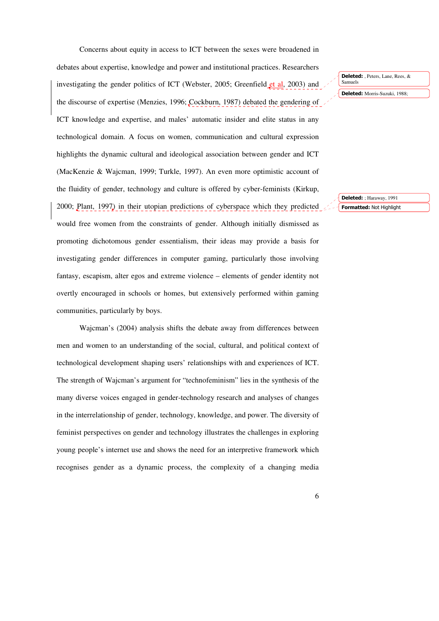Concerns about equity in access to ICT between the sexes were broadened in

debates about expertise, knowledge and power and institutional practices. Researchers investigating the gender politics of ICT (Webster, 2005; Greenfield et al, 2003) and the discourse of expertise (Menzies, 1996; Cockburn, 1987) debated the gendering of ICT knowledge and expertise, and males' automatic insider and elite status in any technological domain. A focus on women, communication and cultural expression highlights the dynamic cultural and ideological association between gender and ICT (MacKenzie & Wajcman, 1999; Turkle, 1997). An even more optimistic account of the fluidity of gender, technology and culture is offered by cyber-feminists (Kirkup, 2000; Plant, 1997) in their utopian predictions of cyberspace which they predicted would free women from the constraints of gender. Although initially dismissed as promoting dichotomous gender essentialism, their ideas may provide a basis for investigating gender differences in computer gaming, particularly those involving fantasy, escapism, alter egos and extreme violence – elements of gender identity not overtly encouraged in schools or homes, but extensively performed within gaming communities, particularly by boys.

Wajcman's (2004) analysis shifts the debate away from differences between men and women to an understanding of the social, cultural, and political context of technological development shaping users' relationships with and experiences of ICT. The strength of Wajcman's argument for "technofeminism" lies in the synthesis of the many diverse voices engaged in gender-technology research and analyses of changes in the interrelationship of gender, technology, knowledge, and power. The diversity of feminist perspectives on gender and technology illustrates the challenges in exploring young people's internet use and shows the need for an interpretive framework which recognises gender as a dynamic process, the complexity of a changing media

Deleted: , Peters, Lane, Rees, & Samuels

Deleted: Morris-Suzuki, 1988;

Formatted: Not Highlight Deleted: ; Haraway, 1991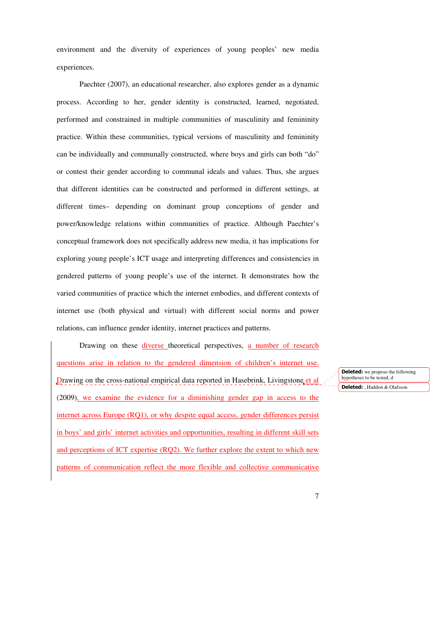environment and the diversity of experiences of young peoples' new media experiences.

Paechter (2007), an educational researcher, also explores gender as a dynamic process. According to her, gender identity is constructed, learned, negotiated, performed and constrained in multiple communities of masculinity and femininity practice. Within these communities, typical versions of masculinity and femininity can be individually and communally constructed, where boys and girls can both "do" or contest their gender according to communal ideals and values. Thus, she argues that different identities can be constructed and performed in different settings, at different times– depending on dominant group conceptions of gender and power/knowledge relations within communities of practice. Although Paechter's conceptual framework does not specifically address new media, it has implications for exploring young people's ICT usage and interpreting differences and consistencies in gendered patterns of young people's use of the internet. It demonstrates how the varied communities of practice which the internet embodies, and different contexts of internet use (both physical and virtual) with different social norms and power relations, can influence gender identity, internet practices and patterns.

Drawing on these diverse theoretical perspectives, a number of research questions arise in relation to the gendered dimension of children's internet use. Drawing on the cross-national empirical data reported in Hasebrink, Livingstone et al (2009), we examine the evidence for a diminishing gender gap in access to the internet across Europe (RQ1), or why despite equal access, gender differences persist in boys' and girls' internet activities and opportunities, resulting in different skill sets and perceptions of ICT expertise (RQ2). We further explore the extent to which new patterns of communication reflect the more flexible and collective communicative

**Deleted:** we propose the following hypotheses to be tested, d Deleted: , Haddon & Olafsson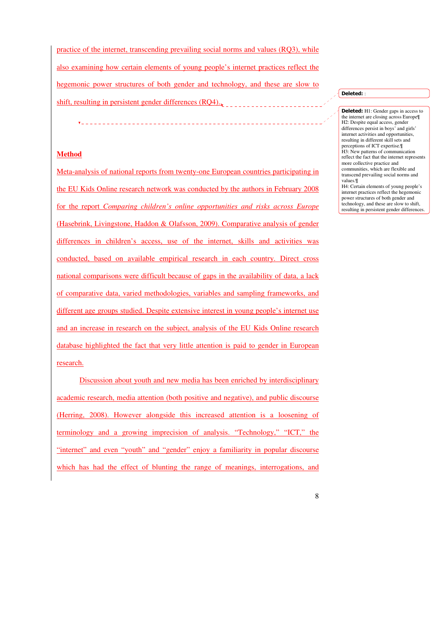practice of the internet, transcending prevailing social norms and values (RQ3), while also examining how certain elements of young people's internet practices reflect the hegemonic power structures of both gender and technology, and these are slow to shift, resulting in persistent gender differences (RQ4)..

# **Method**

Meta-analysis of national reports from twenty-one European countries participating in the EU Kids Online research network was conducted by the authors in February 2008 for the report *Comparing children's online opportunities and risks across Europe* (Hasebrink, Livingstone, Haddon & Olafsson, 2009). Comparative analysis of gender differences in children's access, use of the internet, skills and activities was conducted, based on available empirical research in each country. Direct cross national comparisons were difficult because of gaps in the availability of data, a lack of comparative data, varied methodologies, variables and sampling frameworks, and different age groups studied. Despite extensive interest in young people's internet use and an increase in research on the subject, analysis of the EU Kids Online research database highlighted the fact that very little attention is paid to gender in European research.

Discussion about youth and new media has been enriched by interdisciplinary academic research, media attention (both positive and negative), and public discourse (Herring, 2008). However alongside this increased attention is a loosening of terminology and a growing imprecision of analysis. "Technology," "ICT," the "internet" and even "youth" and "gender" enjoy a familiarity in popular discourse which has had the effect of blunting the range of meanings, interrogations, and

Deleted: :

8

Deleted: H1: Gender gaps in access to the internet are closing across Europe¶ H2: Despite equal access, gender differences persist in boys' and girls' internet activities and opportunities, resulting in different skill sets and perceptions of ICT expertise.¶ H3: New patterns of communication reflect the fact that the internet represents more collective practice and communities, which are flexible and transcend prevailing social norms and values.¶ H4: Certain elements of young people's internet practices reflect the hegemonic power structures of both gender and technology, and these are slow to shift, resulting in persistent gender differences.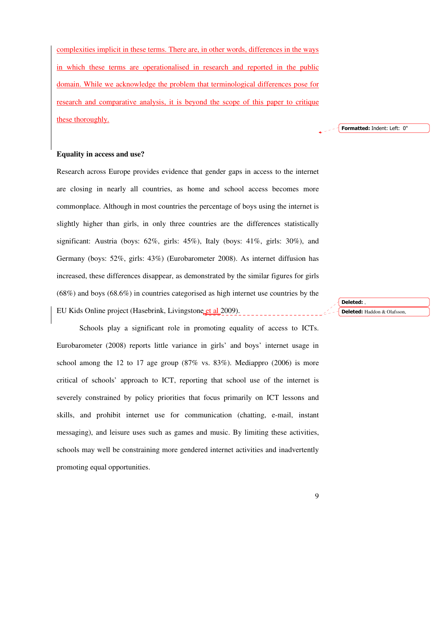complexities implicit in these terms. There are, in other words, differences in the ways in which these terms are operationalised in research and reported in the public domain. While we acknowledge the problem that terminological differences pose for research and comparative analysis, it is beyond the scope of this paper to critique these thoroughly.

Formatted: Indent: Left: 0"

# **Equality in access and use?**

Research across Europe provides evidence that gender gaps in access to the internet are closing in nearly all countries, as home and school access becomes more commonplace. Although in most countries the percentage of boys using the internet is slightly higher than girls, in only three countries are the differences statistically significant: Austria (boys: 62%, girls: 45%), Italy (boys: 41%, girls: 30%), and Germany (boys: 52%, girls: 43%) (Eurobarometer 2008). As internet diffusion has increased, these differences disappear, as demonstrated by the similar figures for girls  $(68\%)$  and boys  $(68.6\%)$  in countries categorised as high internet use countries by the EU Kids Online project (Hasebrink, Livingstone et al 2009).

Schools play a significant role in promoting equality of access to ICTs. Eurobarometer (2008) reports little variance in girls' and boys' internet usage in school among the 12 to 17 age group (87% vs. 83%). Mediappro (2006) is more critical of schools' approach to ICT, reporting that school use of the internet is severely constrained by policy priorities that focus primarily on ICT lessons and skills, and prohibit internet use for communication (chatting, e-mail, instant messaging), and leisure uses such as games and music. By limiting these activities, schools may well be constraining more gendered internet activities and inadvertently promoting equal opportunities.

Deleted: , Deleted: Haddon & Olafsson,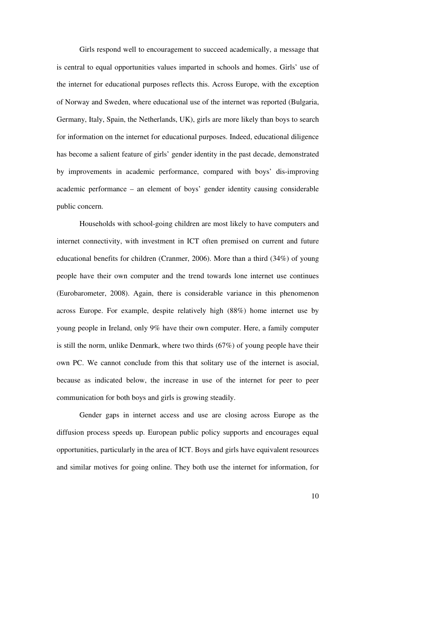Girls respond well to encouragement to succeed academically, a message that is central to equal opportunities values imparted in schools and homes. Girls' use of the internet for educational purposes reflects this. Across Europe, with the exception of Norway and Sweden, where educational use of the internet was reported (Bulgaria, Germany, Italy, Spain, the Netherlands, UK), girls are more likely than boys to search for information on the internet for educational purposes. Indeed, educational diligence has become a salient feature of girls' gender identity in the past decade, demonstrated by improvements in academic performance, compared with boys' dis-improving academic performance – an element of boys' gender identity causing considerable public concern.

Households with school-going children are most likely to have computers and internet connectivity, with investment in ICT often premised on current and future educational benefits for children (Cranmer, 2006). More than a third (34%) of young people have their own computer and the trend towards lone internet use continues (Eurobarometer, 2008). Again, there is considerable variance in this phenomenon across Europe. For example, despite relatively high (88%) home internet use by young people in Ireland, only 9% have their own computer. Here, a family computer is still the norm, unlike Denmark, where two thirds  $(67%)$  of young people have their own PC. We cannot conclude from this that solitary use of the internet is asocial, because as indicated below, the increase in use of the internet for peer to peer communication for both boys and girls is growing steadily.

Gender gaps in internet access and use are closing across Europe as the diffusion process speeds up. European public policy supports and encourages equal opportunities, particularly in the area of ICT. Boys and girls have equivalent resources and similar motives for going online. They both use the internet for information, for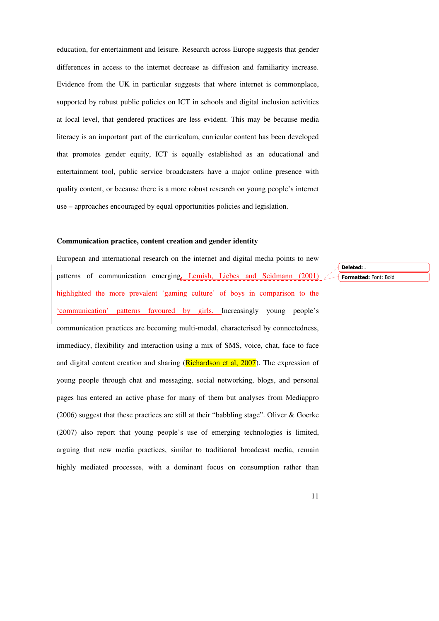education, for entertainment and leisure. Research across Europe suggests that gender differences in access to the internet decrease as diffusion and familiarity increase. Evidence from the UK in particular suggests that where internet is commonplace, supported by robust public policies on ICT in schools and digital inclusion activities at local level, that gendered practices are less evident. This may be because media literacy is an important part of the curriculum, curricular content has been developed that promotes gender equity, ICT is equally established as an educational and entertainment tool, public service broadcasters have a major online presence with quality content, or because there is a more robust research on young people's internet use – approaches encouraged by equal opportunities policies and legislation.

### **Communication practice, content creation and gender identity**

European and international research on the internet and digital media points to new patterns of communication emerging<sub>*.*</sub> Lemish, Liebes and Seidmann (2001) highlighted the more prevalent 'gaming culture' of boys in comparison to the 'communication' patterns favoured by girls. Increasingly young people's communication practices are becoming multi-modal, characterised by connectedness, immediacy, flexibility and interaction using a mix of SMS, voice, chat, face to face and digital content creation and sharing (Richardson et al, 2007). The expression of young people through chat and messaging, social networking, blogs, and personal pages has entered an active phase for many of them but analyses from Mediappro (2006) suggest that these practices are still at their "babbling stage". Oliver & Goerke (2007) also report that young people's use of emerging technologies is limited, arguing that new media practices, similar to traditional broadcast media, remain highly mediated processes, with a dominant focus on consumption rather than

Formatted: Font: Bold Deleted: **.**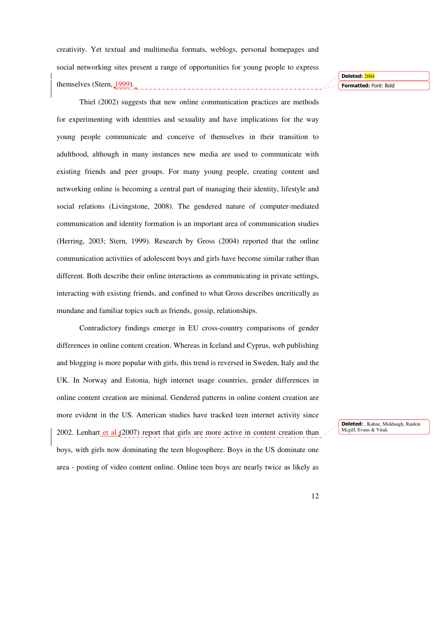creativity. Yet textual and multimedia formats, weblogs, personal homepages and social networking sites present a range of opportunities for young people to express themselves (Stern, 1999).

Thiel (2002) suggests that new online communication practices are methods for experimenting with identities and sexuality and have implications for the way young people communicate and conceive of themselves in their transition to adulthood, although in many instances new media are used to communicate with existing friends and peer groups. For many young people, creating content and networking online is becoming a central part of managing their identity, lifestyle and social relations (Livingstone, 2008). The gendered nature of computer-mediated communication and identity formation is an important area of communication studies (Herring, 2003; Stern, 1999). Research by Gross (2004) reported that the online communication activities of adolescent boys and girls have become similar rather than different. Both describe their online interactions as communicating in private settings, interacting with existing friends, and confined to what Gross describes uncritically as mundane and familiar topics such as friends, gossip, relationships.

Contradictory findings emerge in EU cross-country comparisons of gender differences in online content creation. Whereas in Iceland and Cyprus, web publishing and blogging is more popular with girls, this trend is reversed in Sweden, Italy and the UK. In Norway and Estonia, high internet usage countries, gender differences in online content creation are minimal. Gendered patterns in online content creation are more evident in the US. American studies have tracked teen internet activity since 2002. Lenhart et al  $(2007)$  report that girls are more active in content creation than boys, with girls now dominating the teen blogosphere. Boys in the US dominate one area - posting of video content online. Online teen boys are nearly twice as likely as

Formatted: Font: Bold Deleted: 2004

Deleted: , Kahne, Middaugh, Rankin Mcgill, Evans & Vitak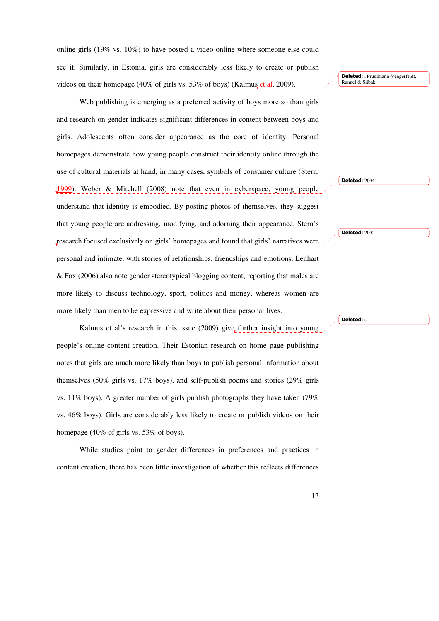online girls (19% vs. 10%) to have posted a video online where someone else could see it. Similarly, in Estonia, girls are considerably less likely to create or publish videos on their homepage (40% of girls vs. 53% of boys) (Kalmus et al, 2009).

Web publishing is emerging as a preferred activity of boys more so than girls and research on gender indicates significant differences in content between boys and girls. Adolescents often consider appearance as the core of identity. Personal homepages demonstrate how young people construct their identity online through the use of cultural materials at hand, in many cases, symbols of consumer culture (Stern, 1999). Weber & Mitchell (2008) note that even in cyberspace, young people understand that identity is embodied. By posting photos of themselves, they suggest that young people are addressing, modifying, and adorning their appearance. Stern's research focused exclusively on girls' homepages and found that girls' narratives were personal and intimate, with stories of relationships, friendships and emotions. Lenhart & Fox (2006) also note gender stereotypical blogging content, reporting that males are more likely to discuss technology, sport, politics and money, whereas women are more likely than men to be expressive and write about their personal lives.

Kalmus et al's research in this issue (2009) give further insight into young people's online content creation. Their Estonian research on home page publishing notes that girls are much more likely than boys to publish personal information about themselves (50% girls vs. 17% boys), and self-publish poems and stories (29% girls vs. 11% boys). A greater number of girls publish photographs they have taken (79% vs. 46% boys). Girls are considerably less likely to create or publish videos on their homepage (40% of girls vs. 53% of boys).

While studies point to gender differences in preferences and practices in content creation, there has been little investigation of whether this reflects differences

Deleted: , Pruulmann-Vengerfeldt Runnel & Siibak

Deleted: 2004

Deleted: 2002

Deleted: s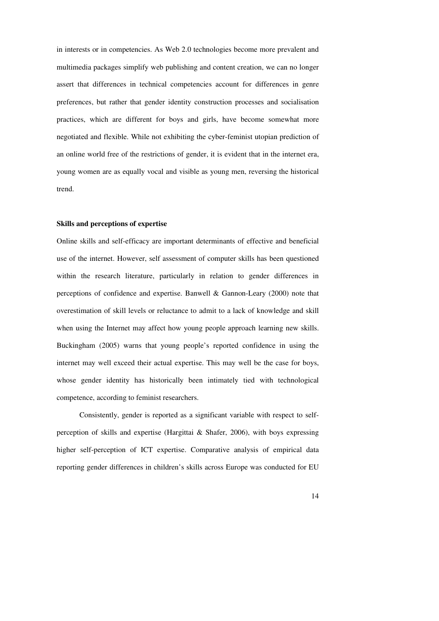in interests or in competencies. As Web 2.0 technologies become more prevalent and multimedia packages simplify web publishing and content creation, we can no longer assert that differences in technical competencies account for differences in genre preferences, but rather that gender identity construction processes and socialisation practices, which are different for boys and girls, have become somewhat more negotiated and flexible. While not exhibiting the cyber-feminist utopian prediction of an online world free of the restrictions of gender, it is evident that in the internet era, young women are as equally vocal and visible as young men, reversing the historical trend.

# **Skills and perceptions of expertise**

Online skills and self-efficacy are important determinants of effective and beneficial use of the internet. However, self assessment of computer skills has been questioned within the research literature, particularly in relation to gender differences in perceptions of confidence and expertise. Banwell & Gannon-Leary (2000) note that overestimation of skill levels or reluctance to admit to a lack of knowledge and skill when using the Internet may affect how young people approach learning new skills. Buckingham (2005) warns that young people's reported confidence in using the internet may well exceed their actual expertise. This may well be the case for boys, whose gender identity has historically been intimately tied with technological competence, according to feminist researchers.

Consistently, gender is reported as a significant variable with respect to selfperception of skills and expertise (Hargittai & Shafer, 2006), with boys expressing higher self-perception of ICT expertise. Comparative analysis of empirical data reporting gender differences in children's skills across Europe was conducted for EU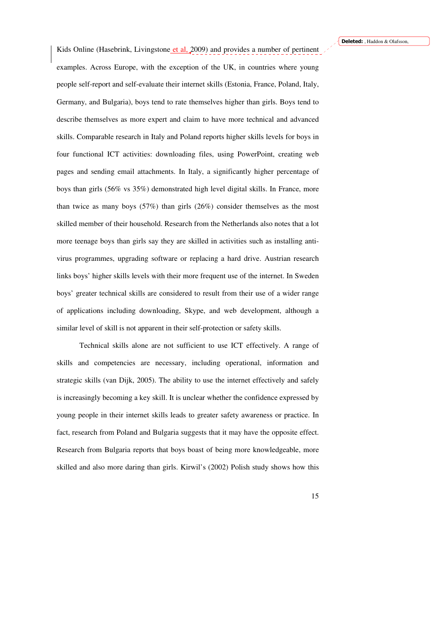Kids Online (Hasebrink, Livingstone et al. 2009) and provides a number of pertinent examples. Across Europe, with the exception of the UK, in countries where young people self-report and self-evaluate their internet skills (Estonia, France, Poland, Italy, Germany, and Bulgaria), boys tend to rate themselves higher than girls. Boys tend to describe themselves as more expert and claim to have more technical and advanced skills. Comparable research in Italy and Poland reports higher skills levels for boys in four functional ICT activities: downloading files, using PowerPoint, creating web pages and sending email attachments. In Italy, a significantly higher percentage of boys than girls (56% vs 35%) demonstrated high level digital skills. In France, more than twice as many boys  $(57%)$  than girls  $(26%)$  consider themselves as the most skilled member of their household. Research from the Netherlands also notes that a lot more teenage boys than girls say they are skilled in activities such as installing antivirus programmes, upgrading software or replacing a hard drive. Austrian research links boys' higher skills levels with their more frequent use of the internet. In Sweden boys' greater technical skills are considered to result from their use of a wider range of applications including downloading, Skype, and web development, although a similar level of skill is not apparent in their self-protection or safety skills.

Technical skills alone are not sufficient to use ICT effectively. A range of skills and competencies are necessary, including operational, information and strategic skills (van Dijk, 2005). The ability to use the internet effectively and safely is increasingly becoming a key skill. It is unclear whether the confidence expressed by young people in their internet skills leads to greater safety awareness or practice. In fact, research from Poland and Bulgaria suggests that it may have the opposite effect. Research from Bulgaria reports that boys boast of being more knowledgeable, more skilled and also more daring than girls. Kirwil's (2002) Polish study shows how this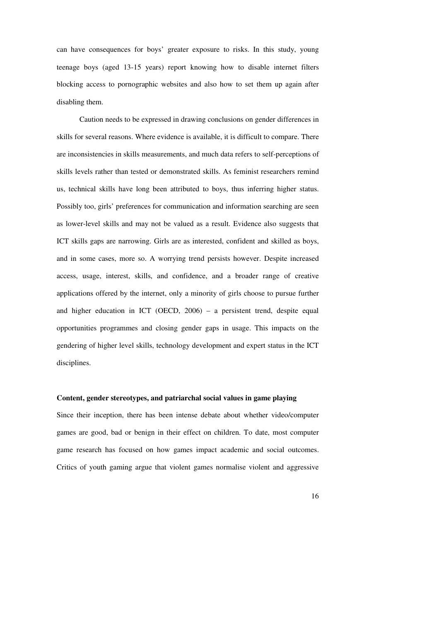can have consequences for boys' greater exposure to risks. In this study, young teenage boys (aged 13-15 years) report knowing how to disable internet filters blocking access to pornographic websites and also how to set them up again after disabling them.

Caution needs to be expressed in drawing conclusions on gender differences in skills for several reasons. Where evidence is available, it is difficult to compare. There are inconsistencies in skills measurements, and much data refers to self-perceptions of skills levels rather than tested or demonstrated skills. As feminist researchers remind us, technical skills have long been attributed to boys, thus inferring higher status. Possibly too, girls' preferences for communication and information searching are seen as lower-level skills and may not be valued as a result. Evidence also suggests that ICT skills gaps are narrowing. Girls are as interested, confident and skilled as boys, and in some cases, more so. A worrying trend persists however. Despite increased access, usage, interest, skills, and confidence, and a broader range of creative applications offered by the internet, only a minority of girls choose to pursue further and higher education in ICT (OECD, 2006) – a persistent trend, despite equal opportunities programmes and closing gender gaps in usage. This impacts on the gendering of higher level skills, technology development and expert status in the ICT disciplines.

### **Content, gender stereotypes, and patriarchal social values in game playing**

Since their inception, there has been intense debate about whether video/computer games are good, bad or benign in their effect on children. To date, most computer game research has focused on how games impact academic and social outcomes. Critics of youth gaming argue that violent games normalise violent and aggressive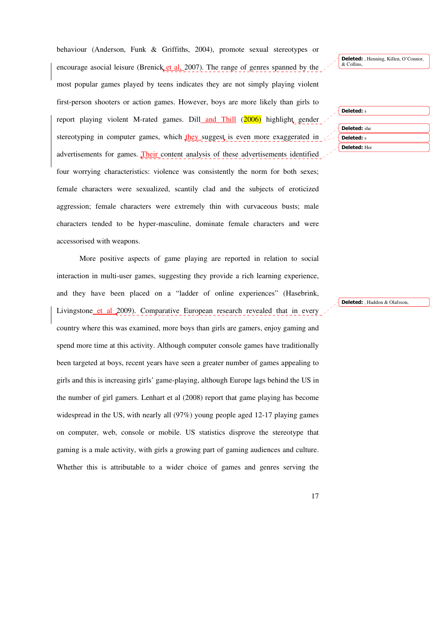behaviour (Anderson, Funk & Griffiths, 2004), promote sexual stereotypes or encourage asocial leisure (Brenick et al, 2007). The range of genres spanned by the most popular games played by teens indicates they are not simply playing violent first-person shooters or action games. However, boys are more likely than girls to report playing violent M-rated games. Dill and Thill (2006) highlight gender stereotyping in computer games, which they suggest is even more exaggerated in advertisements for games. Their content analysis of these advertisements identified four worrying characteristics: violence was consistently the norm for both sexes; female characters were sexualized, scantily clad and the subjects of eroticized aggression; female characters were extremely thin with curvaceous busts; male characters tended to be hyper-masculine, dominate female characters and were accessorised with weapons.

More positive aspects of game playing are reported in relation to social interaction in multi-user games, suggesting they provide a rich learning experience, and they have been placed on a "ladder of online experiences" (Hasebrink, Livingstone et al 2009). Comparative European research revealed that in every country where this was examined, more boys than girls are gamers, enjoy gaming and spend more time at this activity. Although computer console games have traditionally been targeted at boys, recent years have seen a greater number of games appealing to girls and this is increasing girls' game-playing, although Europe lags behind the US in the number of girl gamers. Lenhart et al (2008) report that game playing has become widespread in the US, with nearly all (97%) young people aged 12-17 playing games on computer, web, console or mobile. US statistics disprove the stereotype that gaming is a male activity, with girls a growing part of gaming audiences and culture. Whether this is attributable to a wider choice of games and genres serving the

Deleted: Henning, Killen, O'Connor, & Collins,

| <b>Deleted:</b> s   |  |
|---------------------|--|
| <b>Deleted:</b> she |  |
| <b>Deleted:</b> s   |  |
| <b>Deleted: Her</b> |  |

Deleted: , Haddon & Olafsson,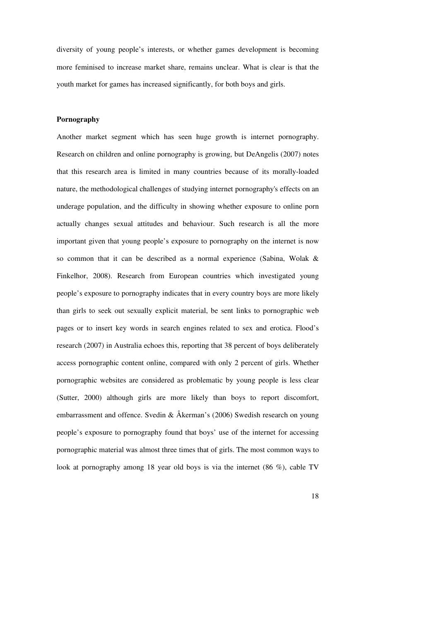diversity of young people's interests, or whether games development is becoming more feminised to increase market share, remains unclear. What is clear is that the youth market for games has increased significantly, for both boys and girls.

# **Pornography**

Another market segment which has seen huge growth is internet pornography. Research on children and online pornography is growing, but DeAngelis (2007) notes that this research area is limited in many countries because of its morally-loaded nature, the methodological challenges of studying internet pornography's effects on an underage population, and the difficulty in showing whether exposure to online porn actually changes sexual attitudes and behaviour. Such research is all the more important given that young people's exposure to pornography on the internet is now so common that it can be described as a normal experience (Sabina, Wolak & Finkelhor, 2008). Research from European countries which investigated young people's exposure to pornography indicates that in every country boys are more likely than girls to seek out sexually explicit material, be sent links to pornographic web pages or to insert key words in search engines related to sex and erotica. Flood's research (2007) in Australia echoes this, reporting that 38 percent of boys deliberately access pornographic content online, compared with only 2 percent of girls. Whether pornographic websites are considered as problematic by young people is less clear (Sutter, 2000) although girls are more likely than boys to report discomfort, embarrassment and offence. Svedin & Åkerman's (2006) Swedish research on young people's exposure to pornography found that boys' use of the internet for accessing pornographic material was almost three times that of girls. The most common ways to look at pornography among 18 year old boys is via the internet (86 %), cable TV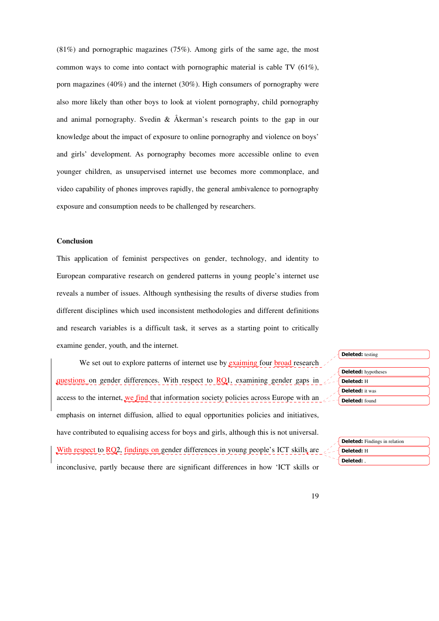$(81\%)$  and pornographic magazines (75%). Among girls of the same age, the most common ways to come into contact with pornographic material is cable TV (61%), porn magazines (40%) and the internet (30%). High consumers of pornography were also more likely than other boys to look at violent pornography, child pornography and animal pornography. Svedin & Åkerman's research points to the gap in our knowledge about the impact of exposure to online pornography and violence on boys' and girls' development. As pornography becomes more accessible online to even younger children, as unsupervised internet use becomes more commonplace, and video capability of phones improves rapidly, the general ambivalence to pornography exposure and consumption needs to be challenged by researchers.

# **Conclusion**

This application of feminist perspectives on gender, technology, and identity to European comparative research on gendered patterns in young people's internet use reveals a number of issues. Although synthesising the results of diverse studies from different disciplines which used inconsistent methodologies and different definitions and research variables is a difficult task, it serves as a starting point to critically examine gender, youth, and the internet.

We set out to explore patterns of internet use by **exaiming** four **broad** research questions on gender differences. With respect to  $RQ1$ , examining gender gaps in  $\angle$ access to the internet, we find that information society policies across Europe with an  $\sim$ emphasis on internet diffusion, allied to equal opportunities policies and initiatives, have contributed to equalising access for boys and girls, although this is not universal. With respect to RQ2, findings on gender differences in young people's ICT skills are  $\angle$ inconclusive, partly because there are significant differences in how 'ICT skills or

| <b>Deleted:</b> testing    |
|----------------------------|
| <b>Deleted:</b> hypotheses |
| Deleted: H                 |
| <b>Deleted:</b> it was     |
| Deleted: found             |

| <b>Deleted:</b> Findings in relation |
|--------------------------------------|
| Deleted: H                           |
| Deleted:                             |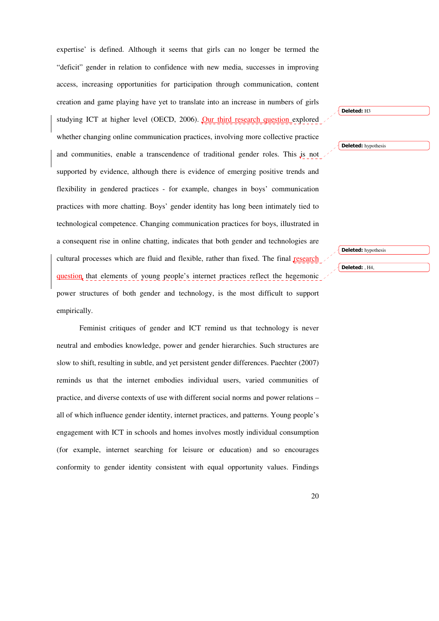expertise' is defined. Although it seems that girls can no longer be termed the "deficit" gender in relation to confidence with new media, successes in improving access, increasing opportunities for participation through communication, content creation and game playing have yet to translate into an increase in numbers of girls studying ICT at higher level (OECD, 2006). Our third research question explored whether changing online communication practices, involving more collective practice and communities, enable a transcendence of traditional gender roles. This is not supported by evidence, although there is evidence of emerging positive trends and flexibility in gendered practices - for example, changes in boys' communication practices with more chatting. Boys' gender identity has long been intimately tied to technological competence. Changing communication practices for boys, illustrated in a consequent rise in online chatting, indicates that both gender and technologies are cultural processes which are fluid and flexible, rather than fixed. The final research question that elements of young people's internet practices reflect the hegemonic power structures of both gender and technology, is the most difficult to support empirically.

Feminist critiques of gender and ICT remind us that technology is never neutral and embodies knowledge, power and gender hierarchies. Such structures are slow to shift, resulting in subtle, and yet persistent gender differences. Paechter (2007) reminds us that the internet embodies individual users, varied communities of practice, and diverse contexts of use with different social norms and power relations – all of which influence gender identity, internet practices, and patterns. Young people's engagement with ICT in schools and homes involves mostly individual consumption (for example, internet searching for leisure or education) and so encourages conformity to gender identity consistent with equal opportunity values. Findings Deleted: hypothesis Deleted: hypothesis

Deleted: , H4,

Deleted: H3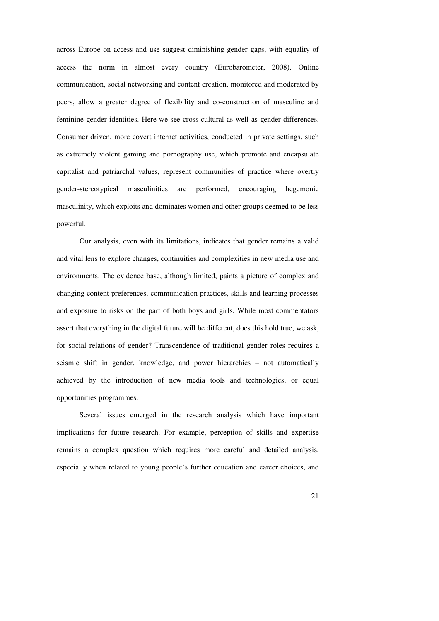across Europe on access and use suggest diminishing gender gaps, with equality of access the norm in almost every country (Eurobarometer, 2008). Online communication, social networking and content creation, monitored and moderated by peers, allow a greater degree of flexibility and co-construction of masculine and feminine gender identities. Here we see cross-cultural as well as gender differences. Consumer driven, more covert internet activities, conducted in private settings, such as extremely violent gaming and pornography use, which promote and encapsulate capitalist and patriarchal values, represent communities of practice where overtly gender-stereotypical masculinities are performed, encouraging hegemonic masculinity, which exploits and dominates women and other groups deemed to be less powerful.

Our analysis, even with its limitations, indicates that gender remains a valid and vital lens to explore changes, continuities and complexities in new media use and environments. The evidence base, although limited, paints a picture of complex and changing content preferences, communication practices, skills and learning processes and exposure to risks on the part of both boys and girls. While most commentators assert that everything in the digital future will be different, does this hold true, we ask, for social relations of gender? Transcendence of traditional gender roles requires a seismic shift in gender, knowledge, and power hierarchies – not automatically achieved by the introduction of new media tools and technologies, or equal opportunities programmes.

 Several issues emerged in the research analysis which have important implications for future research. For example, perception of skills and expertise remains a complex question which requires more careful and detailed analysis, especially when related to young people's further education and career choices, and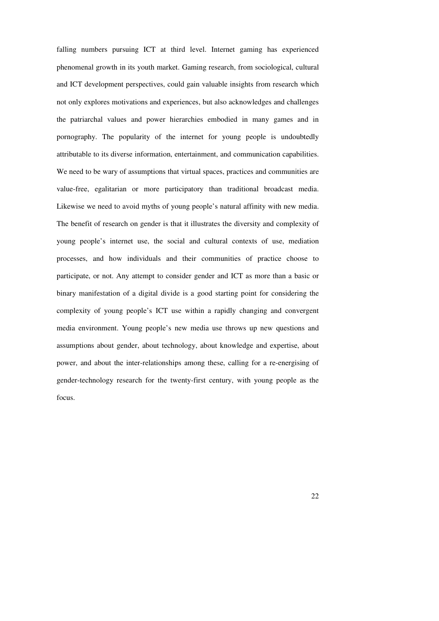falling numbers pursuing ICT at third level. Internet gaming has experienced phenomenal growth in its youth market. Gaming research, from sociological, cultural and ICT development perspectives, could gain valuable insights from research which not only explores motivations and experiences, but also acknowledges and challenges the patriarchal values and power hierarchies embodied in many games and in pornography. The popularity of the internet for young people is undoubtedly attributable to its diverse information, entertainment, and communication capabilities. We need to be wary of assumptions that virtual spaces, practices and communities are value-free, egalitarian or more participatory than traditional broadcast media. Likewise we need to avoid myths of young people's natural affinity with new media. The benefit of research on gender is that it illustrates the diversity and complexity of young people's internet use, the social and cultural contexts of use, mediation processes, and how individuals and their communities of practice choose to participate, or not. Any attempt to consider gender and ICT as more than a basic or binary manifestation of a digital divide is a good starting point for considering the complexity of young people's ICT use within a rapidly changing and convergent media environment. Young people's new media use throws up new questions and assumptions about gender, about technology, about knowledge and expertise, about power, and about the inter-relationships among these, calling for a re-energising of gender-technology research for the twenty-first century, with young people as the focus.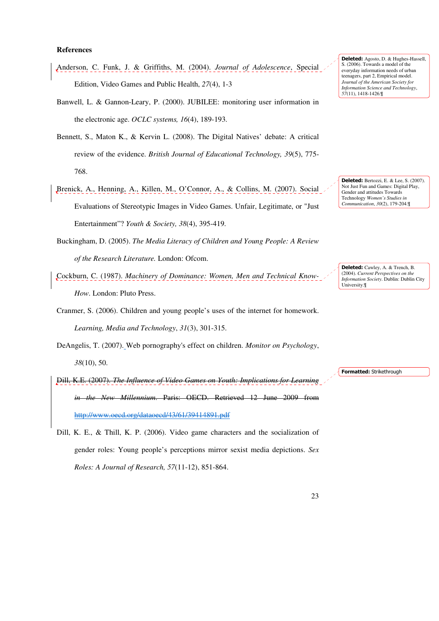# **References**

- Anderson, C. Funk, J. & Griffiths, M. (2004). *Journal of Adolescence*, Special Edition, Video Games and Public Health, *27*(4), 1-3
- Banwell, L. & Gannon-Leary, P. (2000). JUBILEE: monitoring user information in the electronic age. *OCLC systems, 16*(4), 189-193.
- Bennett, S., Maton K., & Kervin L. (2008). The Digital Natives' debate: A critical review of the evidence. *British Journal of Educational Technology, 39*(5), 775- 768.
- Brenick, A., Henning, A., Killen, M., O'Connor, A., & Collins, M. (2007). Social Evaluations of Stereotypic Images in Video Games. Unfair, Legitimate, or "Just Entertainment"? *Youth & Society, 38*(4), 395-419.
- Buckingham, D. (2005). *The Media Literacy of Children and Young People: A Review of the Research Literature.* London: Ofcom.
- Cockburn, C. (1987). *Machinery of Dominance: Women, Men and Technical Know-How*. London: Pluto Press.

Cranmer, S. (2006). Children and young people's uses of the internet for homework. *Learning, Media and Technology*, *31*(3), 301-315.

DeAngelis, T. (2007). Web pornography's effect on children. *Monitor on Psychology*, *38*(10), 50.

Dill, K.E. (2007). *The Influence of Video Games on Youth: Implications in the New Millennium*. Paris: OECD. Retrieved 12 June 2009 from http://www.oecd.org/dataoecd/43/61/39414891.pdf

Dill, K. E., & Thill, K. P. (2006). Video game characters and the socialization of gender roles: Young people's perceptions mirror sexist media depictions. *Sex Roles: A Journal of Research, 57*(11-12), 851-864.

Deleted: Agosto, D. & Hughes-Hassell, S. (2006). Towards a model of the everyday information needs of urban teenagers, part 2, Empirical model. *Journal of the American Society for Information Science and Technology*, *57*(11), 1418-1426.¶

Deleted: Bertozzi, E. & Lee, S. (2007). Not Just Fun and Games: Digital Play, Gender and attitudes Towards Technology *Women's Studies in Communication*, *30*(2), 179-204.¶

Deleted: Cawley, A. & Trench, B. (2004). *Current Perspectives on the Information Society*. Dublin: Dublin City University.¶

Formatted: Strikethrough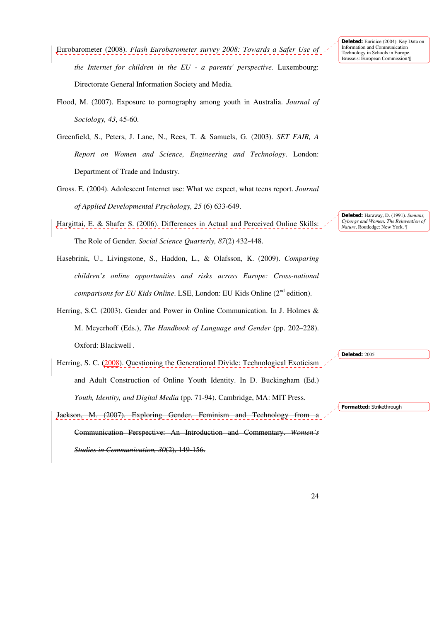Eurobarometer (2008). *Flash Eurobarometer survey 2008: Towards a Safer Use of the Internet for children in the EU - a parents' perspective.* Luxembourg: Directorate General Information Society and Media.

Flood, M. (2007). Exposure to pornography among youth in Australia. *Journal of Sociology, 43*, 45-60.

Greenfield, S., Peters, J. Lane, N., Rees, T. & Samuels, G. (2003). *SET FAIR, A Report on Women and Science, Engineering and Technology*. London: Department of Trade and Industry.

Gross. E. (2004). Adolescent Internet use: What we expect, what teens report. *Journal of Applied Developmental Psychology, 25* (6) 633-649.

Hargittai, E. & Shafer S. (2006). Differences in Actual and Perceived Online Skills: The Role of Gender. *Social Science Quarterly, 87*(2) 432-448.

Hasebrink, U., Livingstone, S., Haddon, L., & Olafsson, K. (2009). *Comparing children's online opportunities and risks across Europe: Cross-national comparisons for EU Kids Online*. LSE, London: EU Kids Online (2<sup>nd</sup> edition).

Herring, S.C. (2003). Gender and Power in Online Communication. In J. Holmes & M. Meyerhoff (Eds.), *The Handbook of Language and Gender* (pp. 202–228). Oxford: Blackwell .

Herring, S. C. (2008). Questioning the Generational Divide: Technological Exoticism and Adult Construction of Online Youth Identity. In D. Buckingham (Ed.) *Youth, Identity, and Digital Media* (pp. 71-94). Cambridge, MA: MIT Press.

Jackson, M. (2007). Exploring Gender, Feminism and Technology from Communication Perspective: An Introduction and Commentary. *Women's Studies in Communication, 30*(2), 149-156.

Deleted: Haraway, D. (1991). *Simians, Cyborgs and Women: The Reinvention of Nature*, Routledge: New York. ¶

Formatted: Strikethrough

Deleted: 2005

Deleted: Euridice (2004). Key Data on Information and Communication Technology in Schools in Europe. Brussels: European Commission.¶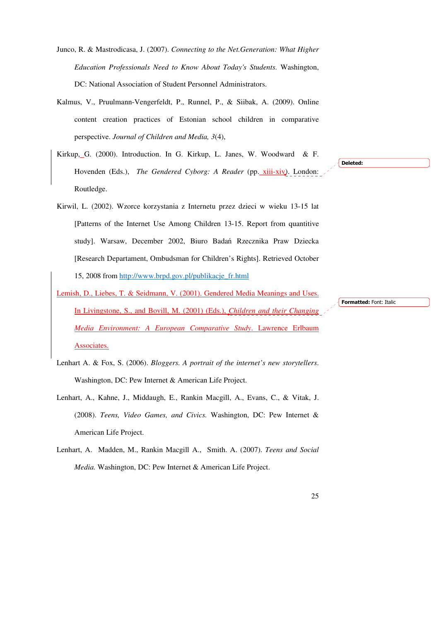- Junco, R. & Mastrodicasa, J. (2007). *Connecting to the Net.Generation: What Higher Education Professionals Need to Know About Today's Students.* Washington, DC: National Association of Student Personnel Administrators.
- Kalmus, V., Pruulmann-Vengerfeldt, P., Runnel, P., & Siibak, A. (2009). Online content creation practices of Estonian school children in comparative perspective. *Journal of Children and Media, 3*(4),
- Kirkup, G. (2000). Introduction. In G. Kirkup, L. Janes, W. Woodward & F. Hovenden (Eds.), *The Gendered Cyborg: A Reader* (pp. xiii-xiv). London: Routledge.
- Kirwil, L. (2002). Wzorce korzystania z Internetu przez dzieci w wieku 13-15 lat [Patterns of the Internet Use Among Children 13-15. Report from quantitive study]. Warsaw, December 2002, Biuro Badań Rzecznika Praw Dziecka [Research Departament, Ombudsman for Children's Rights]. Retrieved October 15, 2008 from http://www.brpd.gov.pl/publikacje\_fr.html
- Lemish, D., Liebes, T. & Seidmann, V. (2001). Gendered Media Meanings and Uses. In Livingstone, S., and Bovill, M. (2001) (Eds.), *Children and their Changing Media Environment: A European Comparative Study*. Lawrence Erlbaum Associates.
- Lenhart A. & Fox, S. (2006). *Bloggers. A portrait of the internet's new storytellers*. Washington, DC: Pew Internet & American Life Project.
- Lenhart, A., Kahne, J., Middaugh, E., Rankin Macgill, A., Evans, C., & Vitak, J. (2008). *Teens, Video Games, and Civics.* Washington, DC: Pew Internet & American Life Project.
- Lenhart, A. Madden, M., Rankin Macgill A., Smith. A. (2007). *Teens and Social Media.* Washington, DC: Pew Internet & American Life Project.

Formatted: Font: Italic

Deleted: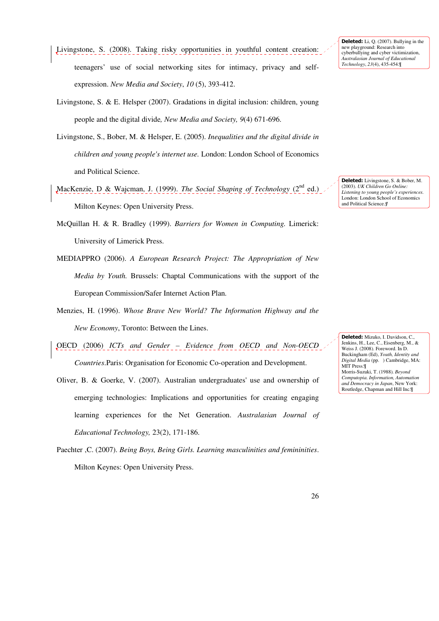- Livingstone, S. (2008). Taking risky opportunities in youthful content creation: teenagers' use of social networking sites for intimacy, privacy and selfexpression. *New Media and Society*, *10* (5), 393-412.
- Livingstone, S. & E. Helsper (2007). Gradations in digital inclusion: children, young people and the digital divide*, New Media and Society, 9*(4) 671-696.
- Livingstone, S., Bober, M. & Helsper, E. (2005). *Inequalities and the digital divide in children and young people's internet use.* London: London School of Economics and Political Science.
- MacKenzie, D & Wajcman, J. (1999). *The Social Shaping of Technology* (2<sup>nd</sup> ed.) Milton Keynes: Open University Press.
- McQuillan H. & R. Bradley (1999). *Barriers for Women in Computing.* Limerick: University of Limerick Press.
- MEDIAPPRO (2006). *A European Research Project: The Appropriation of New Media by Youth.* Brussels: Chaptal Communications with the support of the European Commission/Safer Internet Action Plan.
- Menzies, H. (1996). *Whose Brave New World? The Information Highway and the New Economy*, Toronto: Between the Lines.
- OECD (2006) *ICTs and Gender Evidence from OECD and Non-OECD Countries*.Paris: Organisation for Economic Co-operation and Development.
- Oliver, B. & Goerke, V. (2007). Australian undergraduates' use and ownership of emerging technologies: Implications and opportunities for creating engaging learning experiences for the Net Generation. *Australasian Journal of Educational Technology,* 23(2), 171-186.
- Paechter ,C. (2007). *Being Boys, Being Girls. Learning masculinities and femininities*. Milton Keynes: Open University Press.

Deleted: Li, Q. (2007). Bullying in the new playground: Research into cyberbullying and cyber victimization, *Australasian Journal of Educational Technology*, *23*(4), 435-454.¶

Deleted: Livingstone, S. & Bober, M. (2003). *UK Children Go Online: Listening to young people's experiences.*  London: London School of Economics and Political Science.*¶*

Deleted: Mizuko, I. Davidson, C., Jenkins, H., Lee, C., Eisenberg, M., & Weiss J. (2008). Foreword. In D. Buckingham (Ed), *Youth, Identity and Digital Media* (pp. ) Cambridge, MA: MIT Press.¶ Morris-Suzuki, T. (1988)*. Beyond Computopia. Information, Automation and Democracy in Japan*, New York: Routledge, Chapman and Hill Inc.¶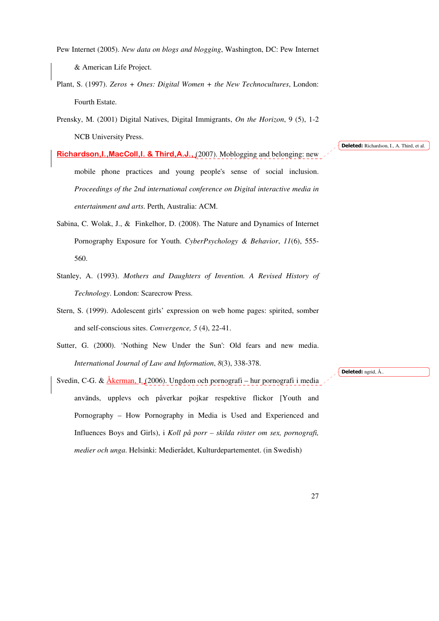Pew Internet (2005). *New data on blogs and blogging*, Washington, DC: Pew Internet & American Life Project.

Plant, S. (1997). *Zeros + Ones: Digital Women + the New Technocultures*, London: Fourth Estate.

Prensky, M. (2001) Digital Natives, Digital Immigrants, *On the Horizon*, 9 (5), 1-2 NCB University Press.

**Richardson,I.,MacColl,I. & Third,A.J.,** (2007). Moblogging and belonging: new mobile phone practices and young people's sense of social inclusion. *Proceedings of the 2nd international conference on Digital interactive media in entertainment and arts*. Perth, Australia: ACM.

- Sabina, C. Wolak, J., & Finkelhor, D. (2008). The Nature and Dynamics of Internet Pornography Exposure for Youth. *CyberPsychology & Behavior*, *11*(6), 555- 560.
- Stanley, A. (1993). *Mothers and Daughters of Invention. A Revised History of Technology*. London: Scarecrow Press.
- Stern, S. (1999). Adolescent girls' expression on web home pages: spirited, somber and self-conscious sites. *Convergence, 5* (4), 22-41.
- Sutter, G. (2000). 'Nothing New Under the Sun': Old fears and new media. *International Journal of Law and Information*, *8*(3), 338-378.

Svedin, C-G. & Åkerman, I. (2006). Ungdom och pornografi – hur pornografi i media används, upplevs och påverkar pojkar respektive flickor [Youth and Pornography – How Pornography in Media is Used and Experienced and Influences Boys and Girls), i *Koll på porr – skilda röster om sex, pornografi, medier och unga*. Helsinki: Medierådet, Kulturdepartementet. (in Swedish)

Deleted: Richardson, I., A. Third, et al.

Deleted: ngrid, Å.